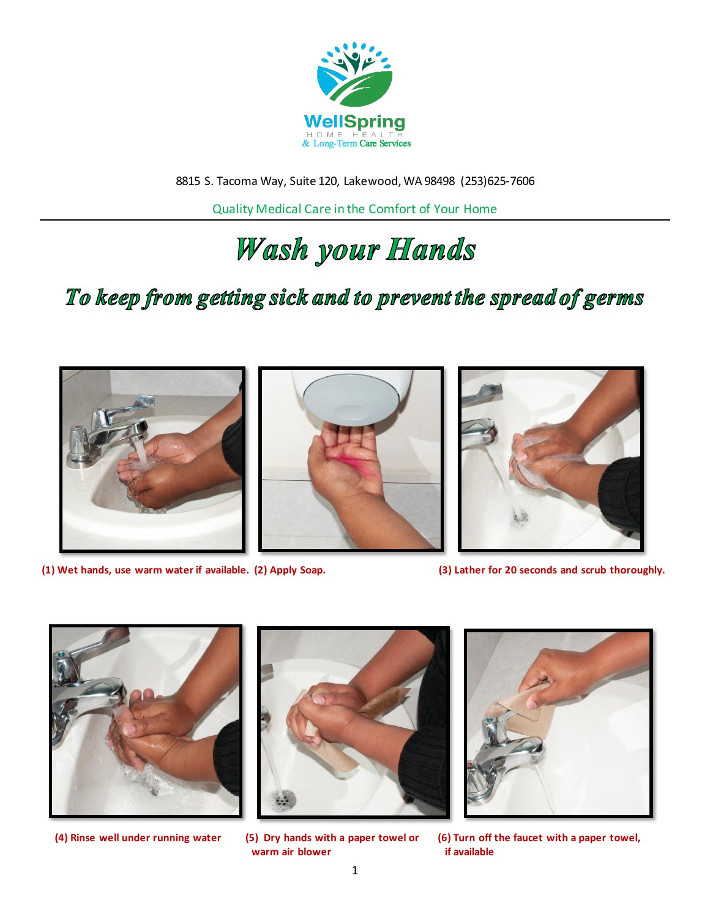

8815 S. Tacoma Way, Suite 120, Lakewood, WA 98498 (253)625-7606

Quality Medical Care in the Comfort of Your Home

## Wash your Hands

### To keep from getting sick and to prevent the spread of germs







**(1) Wet hands, use warm water if available. (2) Apply Soap. (3) Lather for 20 seconds and scrub thoroughly.**









**(4) Rinse well under running water (5) Dry hands with a paper towel or (6) Turn off the faucet with a paper towel,**